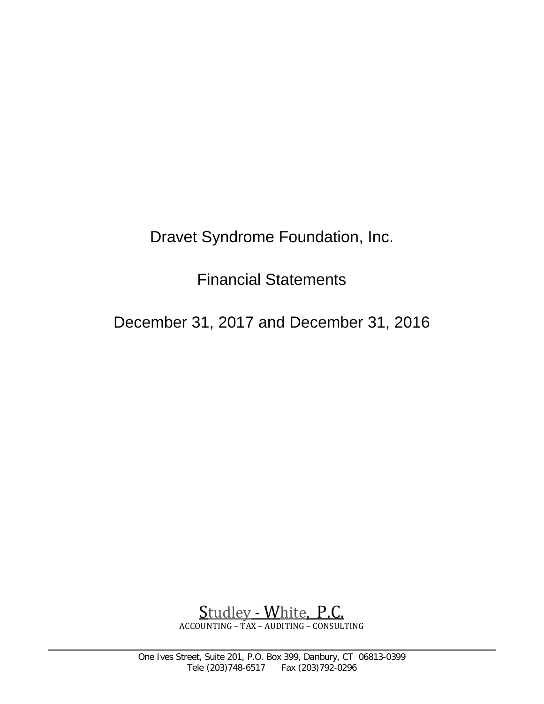Dravet Syndrome Foundation, Inc.

Financial Statements

December 31, 2017 and December 31, 2016



 $\overline{a}$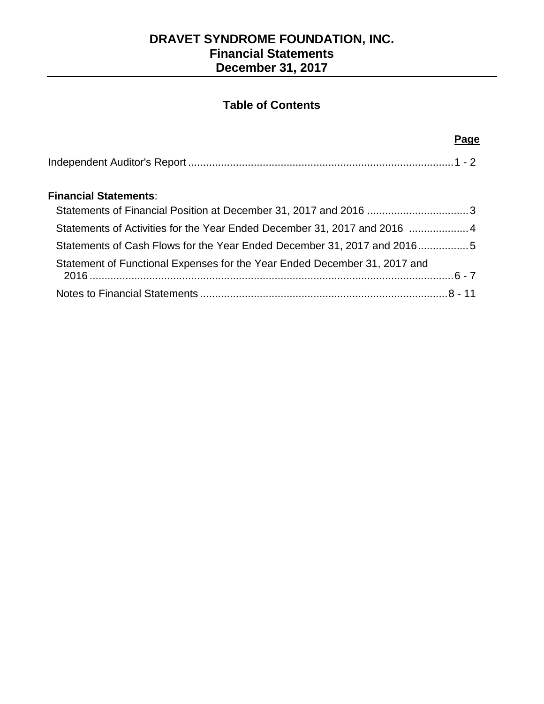# **Table of Contents**

#### **Page** 2014 - Andre Stein Andre Stein Andre Stein Andre Stein Andre Stein Andre Stein Andre Stein Andre Stein A

## **Financial Statements**:

| Statements of Activities for the Year Ended December 31, 2017 and 2016  4 |  |
|---------------------------------------------------------------------------|--|
| Statements of Cash Flows for the Year Ended December 31, 2017 and 20165   |  |
| Statement of Functional Expenses for the Year Ended December 31, 2017 and |  |
|                                                                           |  |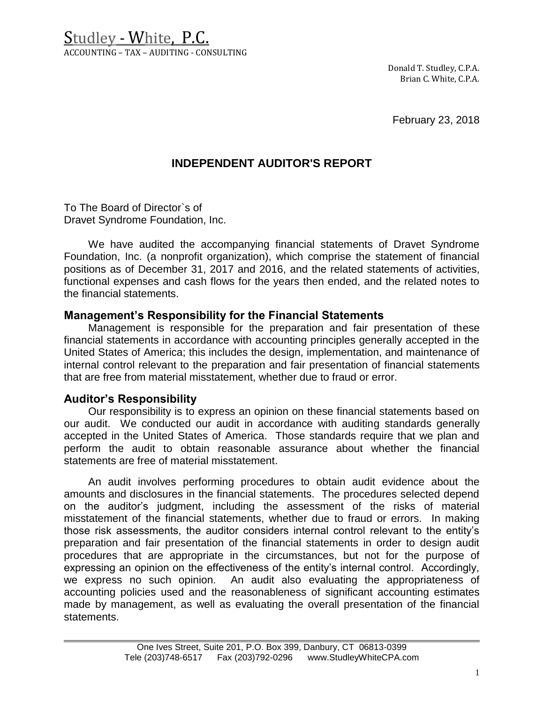Studley - White, P.C. ACCOUNTING – TAX – AUDITING - CONSULTING

> Donald T. Studley, C.P.A. Brian C. White, C.P.A.

February 23, 2018

## **INDEPENDENT AUDITOR'S REPORT**

To The Board of Director`s of Dravet Syndrome Foundation, Inc.

We have audited the accompanying financial statements of Dravet Syndrome Foundation, Inc. (a nonprofit organization), which comprise the statement of financial positions as of December 31, 2017 and 2016, and the related statements of activities, functional expenses and cash flows for the years then ended, and the related notes to the financial statements.

### **Management's Responsibility for the Financial Statements**

Management is responsible for the preparation and fair presentation of these financial statements in accordance with accounting principles generally accepted in the United States of America; this includes the design, implementation, and maintenance of internal control relevant to the preparation and fair presentation of financial statements that are free from material misstatement, whether due to fraud or error.

### **Auditor's Responsibility**

 $\overline{a}$ 

Our responsibility is to express an opinion on these financial statements based on our audit. We conducted our audit in accordance with auditing standards generally accepted in the United States of America. Those standards require that we plan and perform the audit to obtain reasonable assurance about whether the financial statements are free of material misstatement.

An audit involves performing procedures to obtain audit evidence about the amounts and disclosures in the financial statements. The procedures selected depend on the auditor's judgment, including the assessment of the risks of material misstatement of the financial statements, whether due to fraud or errors. In making those risk assessments, the auditor considers internal control relevant to the entity's preparation and fair presentation of the financial statements in order to design audit procedures that are appropriate in the circumstances, but not for the purpose of expressing an opinion on the effectiveness of the entity's internal control. Accordingly, we express no such opinion. An audit also evaluating the appropriateness of accounting policies used and the reasonableness of significant accounting estimates made by management, as well as evaluating the overall presentation of the financial statements.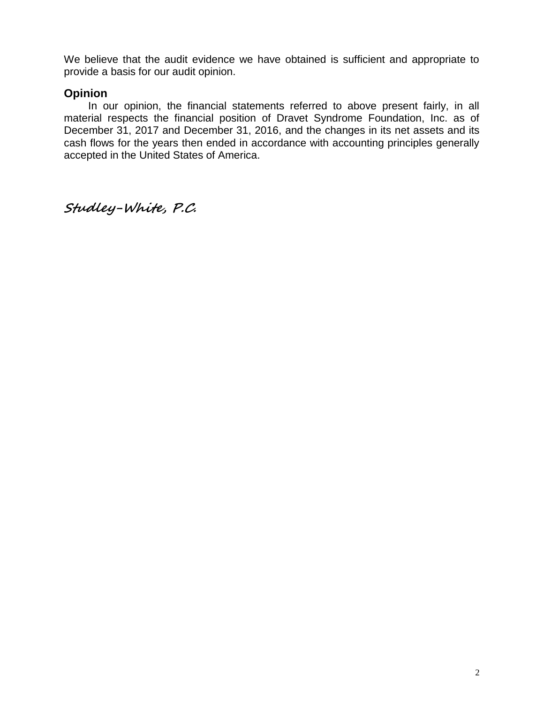We believe that the audit evidence we have obtained is sufficient and appropriate to provide a basis for our audit opinion.

## **Opinion**

In our opinion, the financial statements referred to above present fairly, in all material respects the financial position of Dravet Syndrome Foundation, Inc. as of December 31, 2017 and December 31, 2016, and the changes in its net assets and its cash flows for the years then ended in accordance with accounting principles generally accepted in the United States of America.

**Studley-White, P.C.**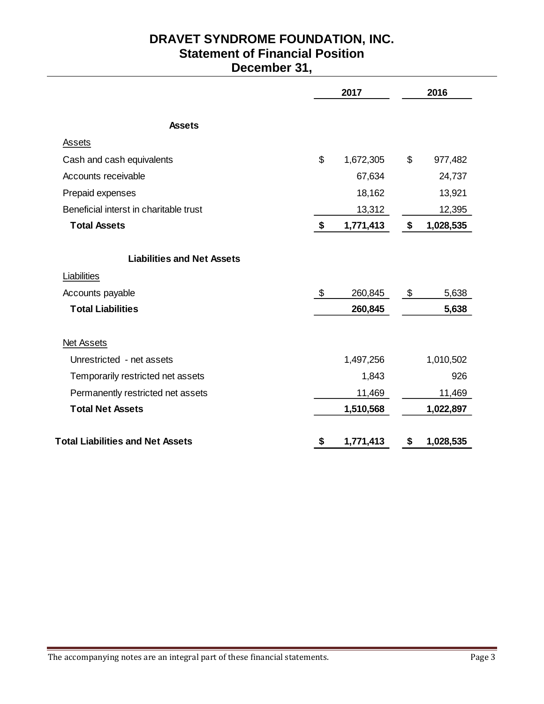# **DRAVET SYNDROME FOUNDATION, INC. Statement of Financial Position December 31,**

|                                         | 2017 |           |    | 2016      |
|-----------------------------------------|------|-----------|----|-----------|
| <b>Assets</b>                           |      |           |    |           |
| Assets                                  |      |           |    |           |
| Cash and cash equivalents               | \$   | 1,672,305 | \$ | 977,482   |
| Accounts receivable                     |      | 67,634    |    | 24,737    |
| Prepaid expenses                        |      | 18,162    |    | 13,921    |
| Beneficial interst in charitable trust  |      | 13,312    |    | 12,395    |
| <b>Total Assets</b>                     | \$   | 1,771,413 | \$ | 1,028,535 |
| <b>Liabilities and Net Assets</b>       |      |           |    |           |
| Liabilities                             |      |           |    |           |
| Accounts payable                        | \$   | 260,845   | \$ | 5,638     |
| <b>Total Liabilities</b>                |      | 260,845   |    | 5,638     |
| <b>Net Assets</b>                       |      |           |    |           |
| Unrestricted - net assets               |      | 1,497,256 |    | 1,010,502 |
| Temporarily restricted net assets       |      | 1,843     |    | 926       |
| Permanently restricted net assets       |      | 11,469    |    | 11,469    |
| <b>Total Net Assets</b>                 |      | 1,510,568 |    | 1,022,897 |
| <b>Total Liabilities and Net Assets</b> | \$   | 1,771,413 | \$ | 1,028,535 |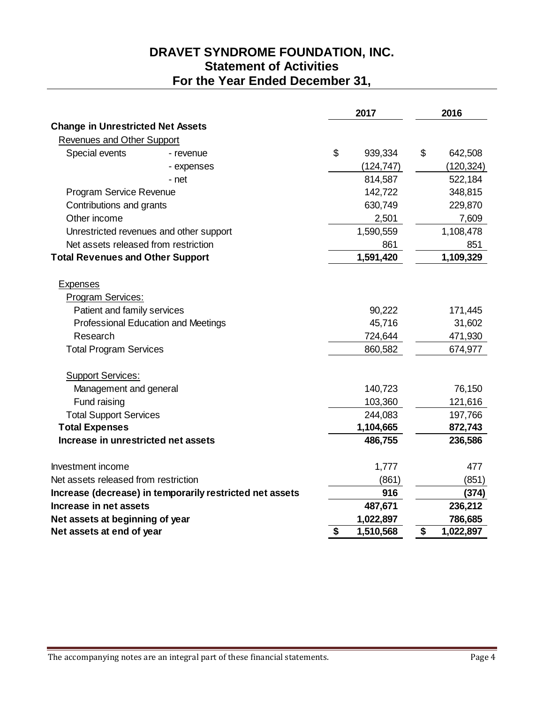# **DRAVET SYNDROME FOUNDATION, INC. Statement of Activities For the Year Ended December 31,**

|                                          |                                                          | 2017            | 2016            |
|------------------------------------------|----------------------------------------------------------|-----------------|-----------------|
| <b>Change in Unrestricted Net Assets</b> |                                                          |                 |                 |
| Revenues and Other Support               |                                                          |                 |                 |
| Special events                           | - revenue                                                | \$<br>939,334   | \$<br>642,508   |
|                                          | - expenses                                               | (124, 747)      | (120, 324)      |
|                                          | - net                                                    | 814,587         | 522,184         |
| Program Service Revenue                  |                                                          | 142,722         | 348,815         |
| Contributions and grants                 |                                                          | 630,749         | 229,870         |
| Other income                             |                                                          | 2,501           | 7,609           |
|                                          | Unrestricted revenues and other support                  | 1,590,559       | 1,108,478       |
| Net assets released from restriction     |                                                          | 861             | 851             |
| <b>Total Revenues and Other Support</b>  |                                                          | 1,591,420       | 1,109,329       |
| <b>Expenses</b>                          |                                                          |                 |                 |
| Program Services:                        |                                                          |                 |                 |
| Patient and family services              |                                                          | 90,222          | 171,445         |
|                                          | Professional Education and Meetings                      | 45,716          | 31,602          |
| Research                                 |                                                          | 724,644         | 471,930         |
| <b>Total Program Services</b>            |                                                          | 860,582         | 674,977         |
| <b>Support Services:</b>                 |                                                          |                 |                 |
| Management and general                   |                                                          | 140,723         | 76,150          |
| Fund raising                             |                                                          | 103,360         | 121,616         |
| <b>Total Support Services</b>            |                                                          | 244,083         | 197,766         |
| <b>Total Expenses</b>                    |                                                          | 1,104,665       | 872,743         |
| Increase in unrestricted net assets      |                                                          | 486,755         | 236,586         |
| Investment income                        |                                                          | 1,777           | 477             |
| Net assets released from restriction     |                                                          | (861)           | (851)           |
|                                          | Increase (decrease) in temporarily restricted net assets | 916             | (374)           |
| Increase in net assets                   |                                                          | 487,671         | 236,212         |
| Net assets at beginning of year          |                                                          | 1,022,897       | 786,685         |
| Net assets at end of year                |                                                          | \$<br>1,510,568 | \$<br>1,022,897 |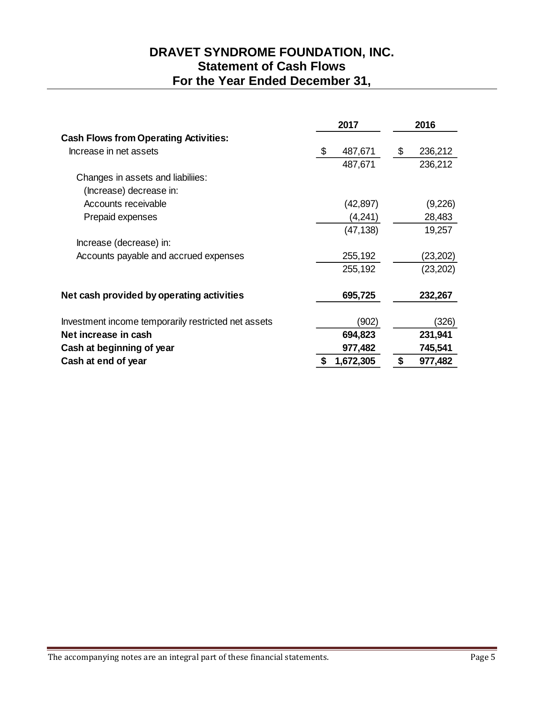# **DRAVET SYNDROME FOUNDATION, INC. Statement of Cash Flows For the Year Ended December 31,**

|                                                     | 2017          | 2016          |
|-----------------------------------------------------|---------------|---------------|
| <b>Cash Flows from Operating Activities:</b>        |               |               |
| Increase in net assets                              | \$<br>487,671 | \$<br>236,212 |
|                                                     | 487,671       | 236,212       |
| Changes in assets and liabiliies:                   |               |               |
| (Increase) decrease in:                             |               |               |
| Accounts receivable                                 | (42, 897)     | (9,226)       |
| Prepaid expenses                                    | (4,241)       | 28,483        |
|                                                     | (47, 138)     | 19,257        |
| Increase (decrease) in:                             |               |               |
| Accounts payable and accrued expenses               | 255,192       | (23,202)      |
|                                                     | 255,192       | (23, 202)     |
| Net cash provided by operating activities           | 695,725       | 232,267       |
| Investment income temporarily restricted net assets | (902)         | (326)         |
| Net increase in cash                                | 694,823       | 231,941       |
| Cash at beginning of year                           | 977,482       | 745,541       |
| Cash at end of year                                 | 1,672,305     | \$<br>977,482 |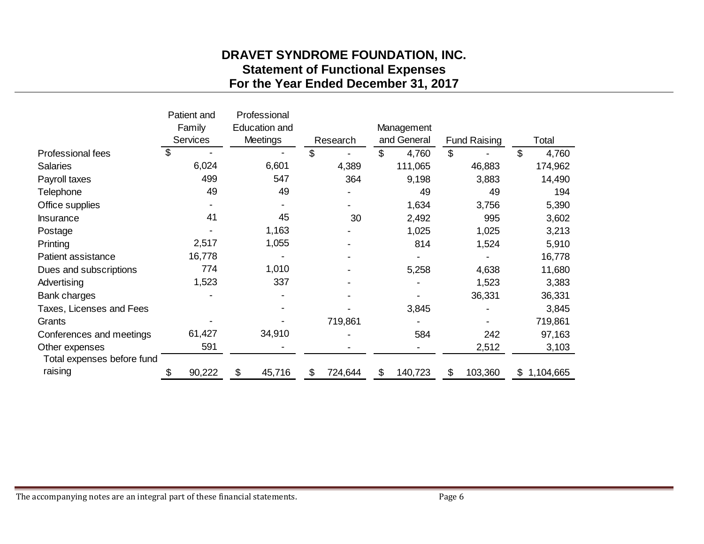# **DRAVET SYNDROME FOUNDATION, INC. Statement of Functional Expenses For the Year Ended December 31, 2017**

|                            |    | Patient and<br>Family |    | Professional<br><b>Education and</b> |    |          |    | Management  |    |                     |    |           |
|----------------------------|----|-----------------------|----|--------------------------------------|----|----------|----|-------------|----|---------------------|----|-----------|
|                            |    | <b>Services</b>       |    | <b>Meetings</b>                      |    | Research |    | and General |    | <b>Fund Raising</b> |    | Total     |
| Professional fees          | \$ |                       |    |                                      | \$ |          | \$ | 4,760       | \$ |                     | \$ | 4,760     |
| <b>Salaries</b>            |    | 6,024                 |    | 6,601                                |    | 4,389    |    | 111,065     |    | 46,883              |    | 174,962   |
| Payroll taxes              |    | 499                   |    | 547                                  |    | 364      |    | 9,198       |    | 3,883               |    | 14,490    |
| Telephone                  |    | 49                    |    | 49                                   |    |          |    | 49          |    | 49                  |    | 194       |
| Office supplies            |    |                       |    |                                      |    |          |    | 1,634       |    | 3,756               |    | 5,390     |
| <b>Insurance</b>           |    | 41                    |    | 45                                   |    | 30       |    | 2,492       |    | 995                 |    | 3,602     |
| Postage                    |    |                       |    | 1,163                                |    |          |    | 1,025       |    | 1,025               |    | 3,213     |
| Printing                   |    | 2,517                 |    | 1,055                                |    |          |    | 814         |    | 1,524               |    | 5,910     |
| Patient assistance         |    | 16,778                |    |                                      |    |          |    |             |    |                     |    | 16,778    |
| Dues and subscriptions     |    | 774                   |    | 1,010                                |    |          |    | 5,258       |    | 4,638               |    | 11,680    |
| Advertising                |    | 1,523                 |    | 337                                  |    |          |    |             |    | 1,523               |    | 3,383     |
| Bank charges               |    |                       |    |                                      |    |          |    |             |    | 36,331              |    | 36,331    |
| Taxes, Licenses and Fees   |    |                       |    |                                      |    |          |    | 3,845       |    |                     |    | 3,845     |
| Grants                     |    |                       |    |                                      |    | 719,861  |    |             |    |                     |    | 719,861   |
| Conferences and meetings   |    | 61,427                |    | 34,910                               |    |          |    | 584         |    | 242                 |    | 97,163    |
| Other expenses             |    | 591                   |    |                                      |    |          |    |             |    | 2,512               |    | 3,103     |
| Total expenses before fund |    |                       |    |                                      |    |          |    |             |    |                     |    |           |
| raising                    |    | 90,222                | \$ | 45,716                               | \$ | 724,644  | \$ | 140,723     | \$ | 103,360             | \$ | 1,104,665 |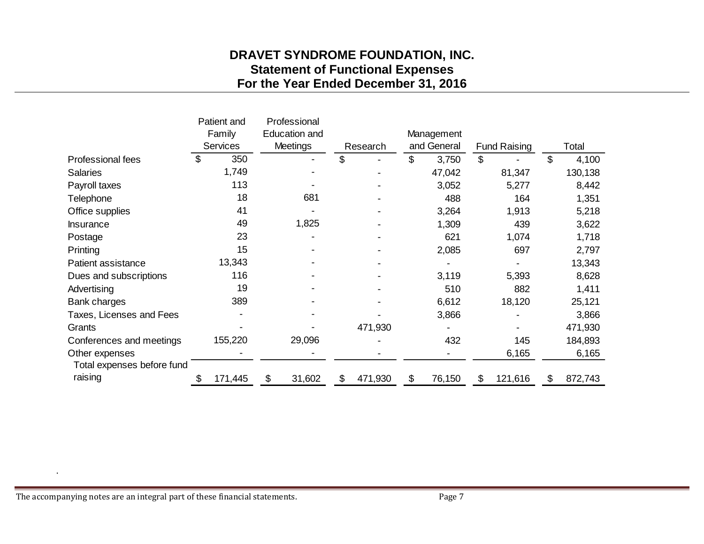# **DRAVET SYNDROME FOUNDATION, INC. Statement of Functional Expenses For the Year Ended December 31, 2016**

|                            |    | Patient and     |    | Professional         |    |          |    |             |                     |         |       |         |
|----------------------------|----|-----------------|----|----------------------|----|----------|----|-------------|---------------------|---------|-------|---------|
|                            |    | Family          |    | <b>Education and</b> |    |          |    | Management  |                     |         |       |         |
|                            |    | <b>Services</b> |    | <b>Meetings</b>      |    | Research |    | and General | <b>Fund Raising</b> |         | Total |         |
| Professional fees          | \$ | 350             |    |                      | \$ |          | \$ | 3,750       | \$                  |         | \$    | 4,100   |
| <b>Salaries</b>            |    | 1,749           |    |                      |    |          |    | 47,042      |                     | 81,347  |       | 130,138 |
| Payroll taxes              |    | 113             |    |                      |    |          |    | 3,052       |                     | 5,277   |       | 8,442   |
| Telephone                  |    | 18              |    | 681                  |    |          |    | 488         |                     | 164     |       | 1,351   |
| Office supplies            |    | 41              |    |                      |    |          |    | 3,264       |                     | 1,913   |       | 5,218   |
| Insurance                  |    | 49              |    | 1,825                |    |          |    | 1,309       |                     | 439     |       | 3,622   |
| Postage                    |    | 23              |    |                      |    |          |    | 621         |                     | 1,074   |       | 1,718   |
| Printing                   |    | 15              |    |                      |    |          |    | 2,085       |                     | 697     |       | 2,797   |
| Patient assistance         |    | 13,343          |    |                      |    |          |    |             |                     |         |       | 13,343  |
| Dues and subscriptions     |    | 116             |    |                      |    |          |    | 3,119       |                     | 5,393   |       | 8,628   |
| Advertising                |    | 19              |    |                      |    |          |    | 510         |                     | 882     |       | 1,411   |
| Bank charges               |    | 389             |    |                      |    |          |    | 6,612       |                     | 18,120  |       | 25,121  |
| Taxes, Licenses and Fees   |    |                 |    |                      |    |          |    | 3,866       |                     |         |       | 3,866   |
| Grants                     |    |                 |    |                      |    | 471,930  |    |             |                     |         |       | 471,930 |
| Conferences and meetings   |    | 155,220         |    | 29,096               |    |          |    | 432         |                     | 145     |       | 184,893 |
| Other expenses             |    |                 |    |                      |    |          |    |             |                     | 6,165   |       | 6,165   |
| Total expenses before fund |    |                 |    |                      |    |          |    |             |                     |         |       |         |
| raising                    | S  | 171,445         | \$ | 31,602               | \$ | 471,930  | \$ | 76,150      | \$                  | 121,616 | \$    | 872,743 |

.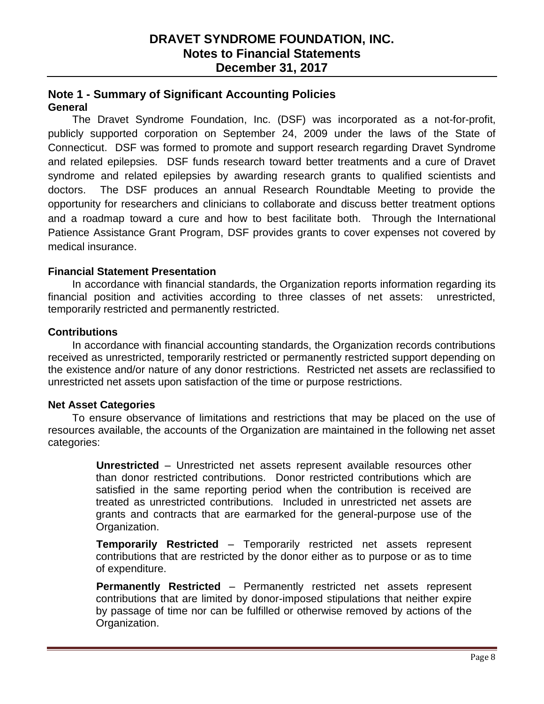### **Note 1 - Summary of Significant Accounting Policies General**

The Dravet Syndrome Foundation, Inc. (DSF) was incorporated as a not-for-profit, publicly supported corporation on September 24, 2009 under the laws of the State of Connecticut. DSF was formed to promote and support research regarding Dravet Syndrome and related epilepsies. DSF funds research toward better treatments and a cure of Dravet syndrome and related epilepsies by awarding research grants to qualified scientists and doctors. The DSF produces an annual Research Roundtable Meeting to provide the opportunity for researchers and clinicians to collaborate and discuss better treatment options and a roadmap toward a cure and how to best facilitate both. Through the International Patience Assistance Grant Program, DSF provides grants to cover expenses not covered by medical insurance.

### **Financial Statement Presentation**

In accordance with financial standards, the Organization reports information regarding its financial position and activities according to three classes of net assets: unrestricted, temporarily restricted and permanently restricted.

### **Contributions**

In accordance with financial accounting standards, the Organization records contributions received as unrestricted, temporarily restricted or permanently restricted support depending on the existence and/or nature of any donor restrictions. Restricted net assets are reclassified to unrestricted net assets upon satisfaction of the time or purpose restrictions.

### **Net Asset Categories**

To ensure observance of limitations and restrictions that may be placed on the use of resources available, the accounts of the Organization are maintained in the following net asset categories:

> **Unrestricted** – Unrestricted net assets represent available resources other than donor restricted contributions. Donor restricted contributions which are satisfied in the same reporting period when the contribution is received are treated as unrestricted contributions. Included in unrestricted net assets are grants and contracts that are earmarked for the general-purpose use of the Organization.

> **Temporarily Restricted** – Temporarily restricted net assets represent contributions that are restricted by the donor either as to purpose or as to time of expenditure.

> **Permanently Restricted** – Permanently restricted net assets represent contributions that are limited by donor-imposed stipulations that neither expire by passage of time nor can be fulfilled or otherwise removed by actions of the Organization.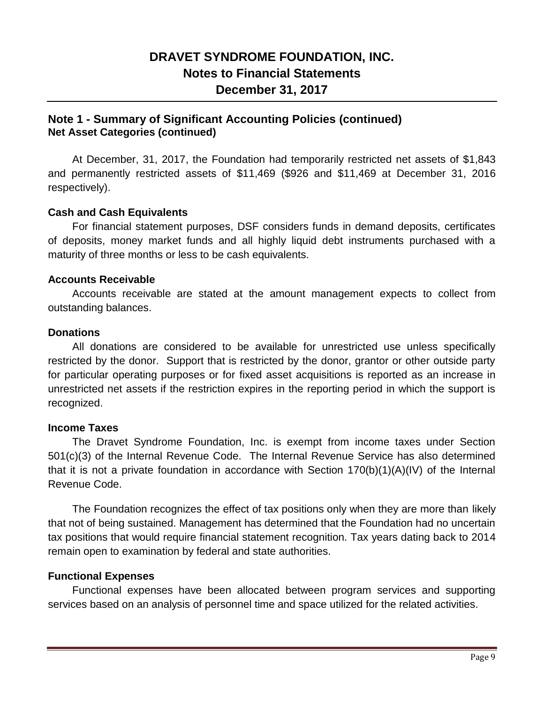## **Note 1 - Summary of Significant Accounting Policies (continued) Net Asset Categories (continued)**

At December, 31, 2017, the Foundation had temporarily restricted net assets of \$1,843 and permanently restricted assets of \$11,469 (\$926 and \$11,469 at December 31, 2016 respectively).

### **Cash and Cash Equivalents**

For financial statement purposes, DSF considers funds in demand deposits, certificates of deposits, money market funds and all highly liquid debt instruments purchased with a maturity of three months or less to be cash equivalents.

#### **Accounts Receivable**

Accounts receivable are stated at the amount management expects to collect from outstanding balances.

#### **Donations**

All donations are considered to be available for unrestricted use unless specifically restricted by the donor. Support that is restricted by the donor, grantor or other outside party for particular operating purposes or for fixed asset acquisitions is reported as an increase in unrestricted net assets if the restriction expires in the reporting period in which the support is recognized.

### **Income Taxes**

The Dravet Syndrome Foundation, Inc. is exempt from income taxes under Section 501(c)(3) of the Internal Revenue Code. The Internal Revenue Service has also determined that it is not a private foundation in accordance with Section 170(b)(1)(A)(IV) of the Internal Revenue Code.

The Foundation recognizes the effect of tax positions only when they are more than likely that not of being sustained. Management has determined that the Foundation had no uncertain tax positions that would require financial statement recognition. Tax years dating back to 2014 remain open to examination by federal and state authorities.

### **Functional Expenses**

Functional expenses have been allocated between program services and supporting services based on an analysis of personnel time and space utilized for the related activities.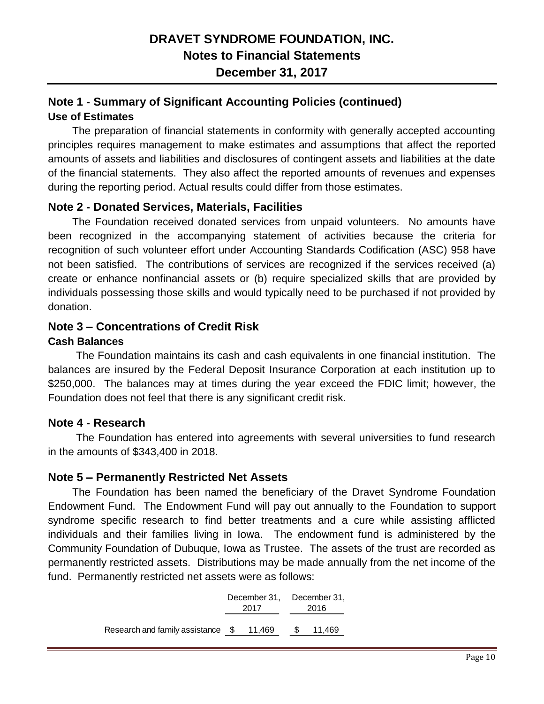## **Note 1 - Summary of Significant Accounting Policies (continued) Use of Estimates**

The preparation of financial statements in conformity with generally accepted accounting principles requires management to make estimates and assumptions that affect the reported amounts of assets and liabilities and disclosures of contingent assets and liabilities at the date of the financial statements. They also affect the reported amounts of revenues and expenses during the reporting period. Actual results could differ from those estimates.

## **Note 2 - Donated Services, Materials, Facilities**

The Foundation received donated services from unpaid volunteers. No amounts have been recognized in the accompanying statement of activities because the criteria for recognition of such volunteer effort under Accounting Standards Codification (ASC) 958 have not been satisfied. The contributions of services are recognized if the services received (a) create or enhance nonfinancial assets or (b) require specialized skills that are provided by individuals possessing those skills and would typically need to be purchased if not provided by donation.

## **Note 3 – Concentrations of Credit Risk**

### **Cash Balances**

The Foundation maintains its cash and cash equivalents in one financial institution. The balances are insured by the Federal Deposit Insurance Corporation at each institution up to \$250,000. The balances may at times during the year exceed the FDIC limit; however, the Foundation does not feel that there is any significant credit risk.

## **Note 4 - Research**

The Foundation has entered into agreements with several universities to fund research in the amounts of \$343,400 in 2018.

## **Note 5 – Permanently Restricted Net Assets**

The Foundation has been named the beneficiary of the Dravet Syndrome Foundation Endowment Fund. The Endowment Fund will pay out annually to the Foundation to support syndrome specific research to find better treatments and a cure while assisting afflicted individuals and their families living in Iowa. The endowment fund is administered by the Community Foundation of Dubuque, Iowa as Trustee. The assets of the trust are recorded as permanently restricted assets. Distributions may be made annually from the net income of the fund. Permanently restricted net assets were as follows:

|                                   |        | December 31, December 31, |        |  |  |
|-----------------------------------|--------|---------------------------|--------|--|--|
|                                   | 2017   | 2016                      |        |  |  |
| Research and family assistance \$ | 11,469 | S                         | 11,469 |  |  |